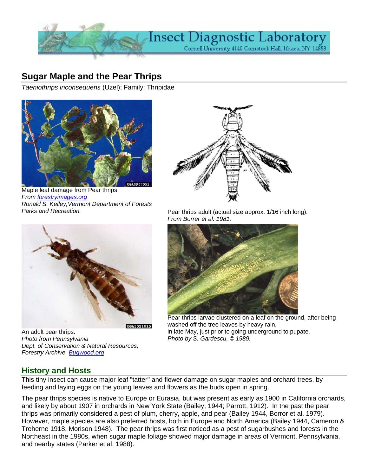

# **Sugar Maple and the Pear Thrips**

*Taeniothrips inconsequens* (Uzel); Family: Thripidae



Maple leaf damage from Pear thrips *From [forestryimages.org](http://www.forestryimages.org/)  Ronald S. Kelley,Vermont Department of Forests* 



An adult pear thrips. *Photo from Pennsylvania Dept. of Conservation & Natural Resources, Forestry Archive, Bugwood.org*



Parks and Recreation. **Pear thrips adult** (actual size approx. 1/16 inch long). *From Borrer et al. 1981.*



Pear thrips larvae clustered on a leaf on the ground, after being washed off the tree leaves by heavy rain, in late May, just prior to going underground to pupate. *Photo by S. Gardescu, © 1989.* 

## **History and Hosts**

This tiny insect can cause major leaf "tatter" and flower damage on sugar maples and orchard trees, by feeding and laying eggs on the young leaves and flowers as the buds open in spring.

The pear thrips species is native to Europe or Eurasia, but was present as early as 1900 in California orchards, and likely by about 1907 in orchards in New York State (Bailey, 1944; Parrott, 1912). In the past the pear thrips was primarily considered a pest of plum, cherry, apple, and pear (Bailey 1944, Borror et al. 1979). However, maple species are also preferred hosts, both in Europe and North America (Bailey 1944, Cameron & Treherne 1918, Morison 1948). The pear thrips was first noticed as a pest of sugarbushes and forests in the Northeast in the 1980s, when sugar maple foliage showed major damage in areas of Vermont, Pennsylvania, and nearby states (Parker et al. 1988).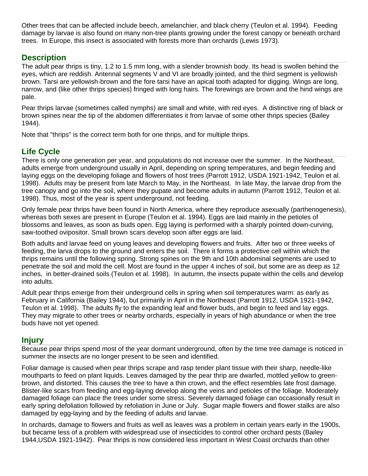Other trees that can be affected include beech, amelanchier, and black cherry (Teulon et al. 1994). Feeding damage by larvae is also found on many non-tree plants growing under the forest canopy or beneath orchard trees. In Europe, this insect is associated with forests more than orchards (Lewis 1973).

## **Description**

The adult pear thrips is tiny, 1.2 to 1.5 mm long, with a slender brownish body. Its head is swollen behind the eyes, which are reddish. Antennal segments V and VI are broadly jointed, and the third segment is yellowish brown. Tarsi are yellowish-brown and the fore tarsi have an apical tooth adapted for digging. Wings are long, narrow, and (like other thrips species) fringed with long hairs. The forewings are brown and the hind wings are pale.

Pear thrips larvae (sometimes called nymphs) are small and white, with red eyes. A distinctive ring of black or brown spines near the tip of the abdomen differentiates it from larvae of some other thrips species (Bailey 1944).

Note that "thrips" is the correct term both for one thrips, and for multiple thrips.

# **Life Cycle**

There is only one generation per year, and populations do not increase over the summer. In the Northeast, adults emerge from underground usually in April, depending on spring temperatures, and begin feeding and laying eggs on the developing foliage and flowers of host trees (Parrott 1912, USDA 1921-1942, Teulon et al. 1998). Adults may be present from late March to May, in the Northeast. In late May, the larvae drop from the tree canopy and go into the soil, where they pupate and become adults in autumn (Parrott 1912, Teulon et al. 1998). Thus, most of the year is spent underground, not feeding.

Only female pear thrips have been found in North America, where they reproduce asexually (parthenogenesis), whereas both sexes are present in Europe (Teulon et al. 1994). Eggs are laid mainly in the petioles of blossoms and leaves, as soon as buds open. Egg laying is performed with a sharply pointed down-curving, saw-toothed ovipositor. Small brown scars develop soon after eggs are laid.

Both adults and larvae feed on young leaves and developing flowers and fruits. After two or three weeks of feeding, the larva drops to the ground and enters the soil. There it forms a protective cell within which the thrips remains until the following spring. Strong spines on the 9th and 10th abdominal segments are used to penetrate the soil and mold the cell. Most are found in the upper 4 inches of soil, but some are as deep as 12 inches, in better-drained soils (Teulon et al. 1998). In autumn, the insects pupate within the cells and develop into adults.

Adult pear thrips emerge from their underground cells in spring when soil temperatures warm: as early as February in California (Bailey 1944), but primarily in April in the Northeast (Parrott 1912, USDA 1921-1942, Teulon et al. 1998). The adults fly to the expanding leaf and flower buds, and begin to feed and lay eggs. They may migrate to other trees or nearby orchards, especially in years of high abundance or when the tree buds have not yet opened.

### **Injury**

Because pear thrips spend most of the year dormant underground, often by the time tree damage is noticed in summer the insects are no longer present to be seen and identified.

Foliar damage is caused when pear thrips scrape and rasp tender plant tissue with their sharp, needle-like mouthparts to feed on plant liquids. Leaves damaged by the pear thrip are dwarfed, mottled yellow to greenbrown, and distorted. This causes the tree to have a thin crown, and the effect resembles late frost damage. Blister-like scars from feeding and egg-laying develop along the veins and petioles of the foliage. Moderately damaged foliage can place the trees under some stress. Severely damaged foliage can occasionally result in early spring defoliation followed by refoliation in June or July. Sugar maple flowers and flower stalks are also damaged by egg-laying and by the feeding of adults and larvae.

In orchards, damage to flowers and fruits as well as leaves was a problem in certain years early in the 1900s, but became less of a problem with widespread use of insecticides to control other orchard pests (Bailey 1944,USDA 1921-1942). Pear thrips is now considered less important in West Coast orchards than other